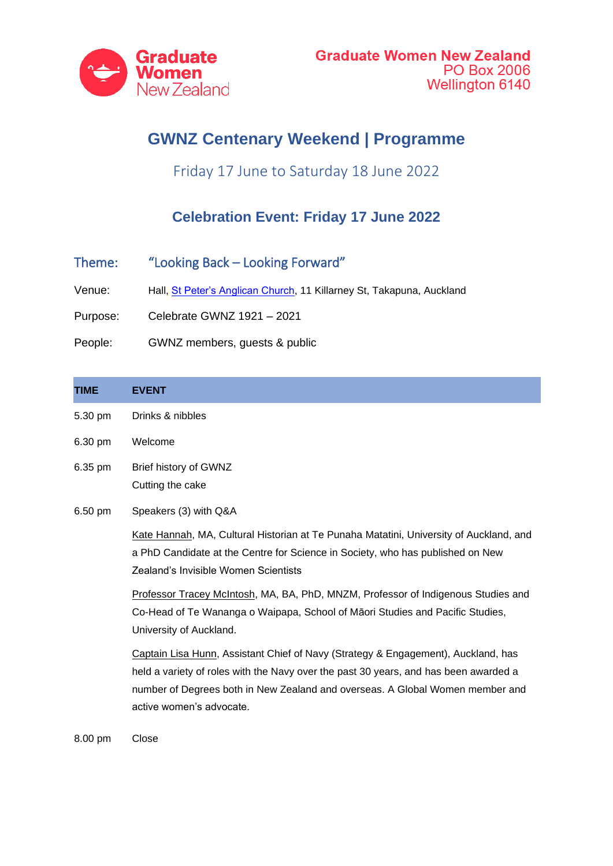

## **GWNZ Centenary Weekend | Programme**

Friday 17 June to Saturday 18 June 2022

## **Celebration Event: Friday 17 June 2022**

- Theme: "Looking Back Looking Forward"
- Venue: Hall, [St Peter's Anglican Church,](https://www.google.com/maps/place/St.+Peter) 11 Killarney St, Takapuna, Auckland

Purpose: Celebrate GWNZ 1921 – 2021

People: GWNZ members, guests & public

| <b>TIME</b> | <b>EVENT</b>                                                                                                                                                                                                                                                                           |
|-------------|----------------------------------------------------------------------------------------------------------------------------------------------------------------------------------------------------------------------------------------------------------------------------------------|
| 5.30 pm     | Drinks & nibbles                                                                                                                                                                                                                                                                       |
| 6.30 pm     | Welcome                                                                                                                                                                                                                                                                                |
| 6.35 pm     | Brief history of GWNZ<br>Cutting the cake                                                                                                                                                                                                                                              |
| 6.50 pm     | Speakers (3) with Q&A                                                                                                                                                                                                                                                                  |
|             | Kate Hannah, MA, Cultural Historian at Te Punaha Matatini, University of Auckland, and<br>a PhD Candidate at the Centre for Science in Society, who has published on New<br>Zealand's Invisible Women Scientists                                                                       |
|             | Professor Tracey McIntosh, MA, BA, PhD, MNZM, Professor of Indigenous Studies and<br>Co-Head of Te Wananga o Waipapa, School of Māori Studies and Pacific Studies,<br>University of Auckland.                                                                                          |
|             | Captain Lisa Hunn, Assistant Chief of Navy (Strategy & Engagement), Auckland, has<br>held a variety of roles with the Navy over the past 30 years, and has been awarded a<br>number of Degrees both in New Zealand and overseas. A Global Women member and<br>active women's advocate. |

8.00 pm Close